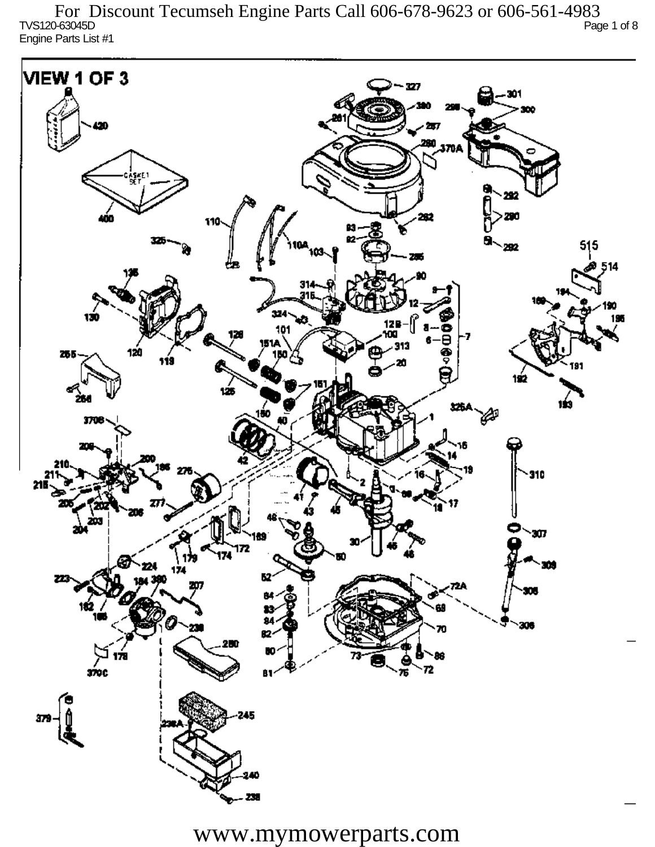TVS120-63045D Page 1 of 8 Engine Parts List #1 For Discount Tecumseh Engine Parts Call 606-678-9623 or 606-561-4983

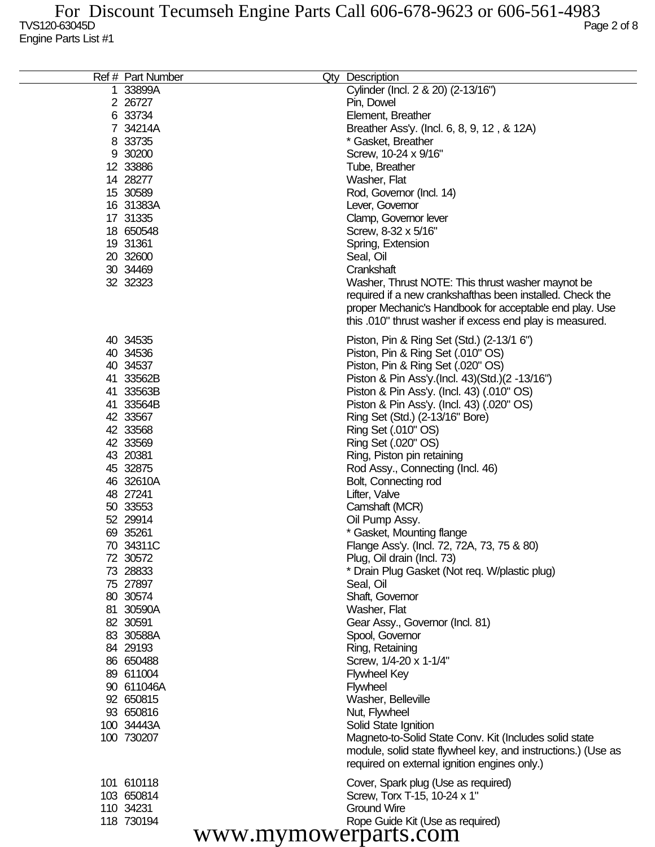| Ref # Part Number    | Qty Description                                              |
|----------------------|--------------------------------------------------------------|
| 1 33899A             | Cylinder (Incl. 2 & 20) (2-13/16")                           |
| 2 26727              | Pin, Dowel                                                   |
| 6 33734              | Element, Breather                                            |
| 7 34214A             | Breather Ass'y. (Incl. 6, 8, 9, 12, & 12A)                   |
| 8 33735              | * Gasket, Breather                                           |
| 9 30200              | Screw, 10-24 x 9/16"                                         |
| 12 33886             | Tube, Breather                                               |
| 14 28277             | Washer, Flat                                                 |
| 15 30589             | Rod, Governor (Incl. 14)                                     |
| 16 31383A            |                                                              |
|                      | Lever, Governor                                              |
| 17 31335             | Clamp, Governor lever                                        |
| 18 650548            | Screw, 8-32 x 5/16"                                          |
| 19 31361             | Spring, Extension                                            |
| 20 32600             | Seal, Oil                                                    |
| 30 34469             | Crankshaft                                                   |
| 32 32323             | Washer, Thrust NOTE: This thrust washer maynot be            |
|                      | required if a new crankshafthas been installed. Check the    |
|                      | proper Mechanic's Handbook for acceptable end play. Use      |
|                      | this .010" thrust washer if excess end play is measured.     |
| 40 34535             | Piston, Pin & Ring Set (Std.) (2-13/1 6")                    |
| 40 34536             | Piston, Pin & Ring Set (.010" OS)                            |
| 40 34537             | Piston, Pin & Ring Set (.020" OS)                            |
| 41 33562B            | Piston & Pin Ass'y (Incl. 43) (Std.) (2 -13/16")             |
|                      |                                                              |
| 41 33563B            | Piston & Pin Ass'y. (Incl. 43) (.010" OS)                    |
| 41 33564B            | Piston & Pin Ass'y. (Incl. 43) (.020" OS)                    |
| 42 33567             | Ring Set (Std.) (2-13/16" Bore)                              |
| 42 33568             | Ring Set (.010" OS)                                          |
| 42 33569             | Ring Set (.020" OS)                                          |
| 43 20381             | Ring, Piston pin retaining                                   |
| 45 32875             | Rod Assy., Connecting (Incl. 46)                             |
| 46 32610A            | Bolt, Connecting rod                                         |
| 48 27241             | Lifter, Valve                                                |
| 50 33553             | Camshaft (MCR)                                               |
| 52 29914             | Oil Pump Assy.                                               |
| 69 35261             | * Gasket, Mounting flange                                    |
| 70 34311C            | Flange Ass'y. (Incl. 72, 72A, 73, 75 & 80)                   |
| 72 30572             | Plug, Oil drain (Incl. 73)                                   |
| 73 28833             | * Drain Plug Gasket (Not req. W/plastic plug)                |
| 75 27897             | Seal, Oil                                                    |
| 80 30574             | Shaft, Governor                                              |
| 81 30590A            | Washer, Flat                                                 |
| 82 30591             | Gear Assy., Governor (Incl. 81)                              |
| 83 30588A            | Spool, Governor                                              |
| 84 29193             | Ring, Retaining                                              |
| 86 650488            | Screw, 1/4-20 x 1-1/4"                                       |
| 89 611004            | <b>Flywheel Key</b>                                          |
| 90 611046A           | <b>Flywheel</b>                                              |
| 92 650815            | Washer, Belleville                                           |
| 93 650816            | Nut, Flywheel                                                |
| 100 34443A           | Solid State Ignition                                         |
| 100 730207           | Magneto-to-Solid State Conv. Kit (Includes solid state       |
|                      | module, solid state flywheel key, and instructions.) (Use as |
|                      | required on external ignition engines only.)                 |
| 101 610118           | Cover, Spark plug (Use as required)                          |
| 103 650814           | Screw, Torx T-15, 10-24 x 1"                                 |
| 110 34231            | <b>Ground Wire</b>                                           |
| 118 730194           | Rope Guide Kit (Use as required)                             |
| www.mymowerparts.com |                                                              |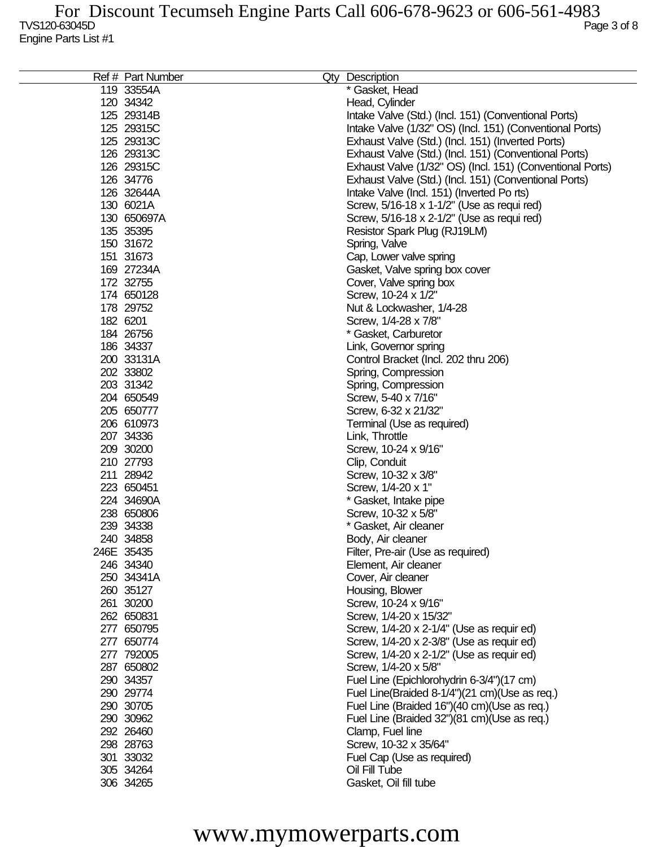| Ref # Part Number | Qty Description                                           |
|-------------------|-----------------------------------------------------------|
| 119 33554A        | * Gasket, Head                                            |
| 120 34342         | Head, Cylinder                                            |
| 125 29314B        | Intake Valve (Std.) (Incl. 151) (Conventional Ports)      |
| 125 29315C        | Intake Valve (1/32" OS) (Incl. 151) (Conventional Ports)  |
| 125 29313C        | Exhaust Valve (Std.) (Incl. 151) (Inverted Ports)         |
| 126 29313C        | Exhaust Valve (Std.) (Incl. 151) (Conventional Ports)     |
| 126 29315C        | Exhaust Valve (1/32" OS) (Incl. 151) (Conventional Ports) |
| 126 34776         | Exhaust Valve (Std.) (Incl. 151) (Conventional Ports)     |
| 126 32644A        | Intake Valve (Incl. 151) (Inverted Po rts)                |
| 130 6021A         | Screw, 5/16-18 x 1-1/2" (Use as requi red)                |
| 130 650697A       | Screw, 5/16-18 x 2-1/2" (Use as requi red)                |
| 135 35395         |                                                           |
| 150 31672         | Resistor Spark Plug (RJ19LM)                              |
|                   | Spring, Valve                                             |
| 151 31673         | Cap, Lower valve spring                                   |
| 169 27234A        | Gasket, Valve spring box cover                            |
| 172 32755         | Cover, Valve spring box                                   |
| 174 650128        | Screw, 10-24 x 1/2"                                       |
| 178 29752         | Nut & Lockwasher, 1/4-28                                  |
| 182 6201          | Screw, 1/4-28 x 7/8"                                      |
| 184 26756         | * Gasket, Carburetor                                      |
| 186 34337         | Link, Governor spring                                     |
| 200 33131A        | Control Bracket (Incl. 202 thru 206)                      |
| 202 33802         | Spring, Compression                                       |
| 203 31342         | Spring, Compression                                       |
| 204 650549        | Screw, 5-40 x 7/16"                                       |
| 205 650777        | Screw, 6-32 x 21/32"                                      |
| 206 610973        | Terminal (Use as required)                                |
| 207 34336         | Link, Throttle                                            |
| 209 30200         | Screw, 10-24 x 9/16"                                      |
| 210 27793         | Clip, Conduit                                             |
| 211 28942         | Screw, 10-32 x 3/8"                                       |
| 223 650451        | Screw, 1/4-20 x 1"                                        |
| 224 34690A        | * Gasket, Intake pipe                                     |
| 238 650806        | Screw, 10-32 x 5/8"                                       |
| 239 34338         | * Gasket, Air cleaner                                     |
| 240 34858         | Body, Air cleaner                                         |
| 246E 35435        | Filter, Pre-air (Use as required)                         |
| 246 34340         | Element, Air cleaner                                      |
| 250 34341A        | Cover, Air cleaner                                        |
| 260 35127         | Housing, Blower                                           |
| 261 30200         | Screw, 10-24 x 9/16"                                      |
| 262 650831        | Screw, 1/4-20 x 15/32"                                    |
| 277 650795        | Screw, 1/4-20 x 2-1/4" (Use as requir ed)                 |
| 277 650774        | Screw, 1/4-20 x 2-3/8" (Use as requir ed)                 |
| 277 792005        | Screw, 1/4-20 x 2-1/2" (Use as requir ed)                 |
| 287 650802        | Screw, 1/4-20 x 5/8"                                      |
| 290 34357         | Fuel Line (Epichlorohydrin 6-3/4")(17 cm)                 |
| 290 29774         | Fuel Line(Braided 8-1/4")(21 cm)(Use as req.)             |
| 290 30705         |                                                           |
| 290 30962         | Fuel Line (Braided 16")(40 cm)(Use as req.)               |
|                   | Fuel Line (Braided 32")(81 cm)(Use as req.)               |
| 292 26460         | Clamp, Fuel line                                          |
| 298 28763         | Screw, 10-32 x 35/64"                                     |
| 301 33032         | Fuel Cap (Use as required)                                |
| 305 34264         | Oil Fill Tube                                             |
| 306 34265         | Gasket, Oil fill tube                                     |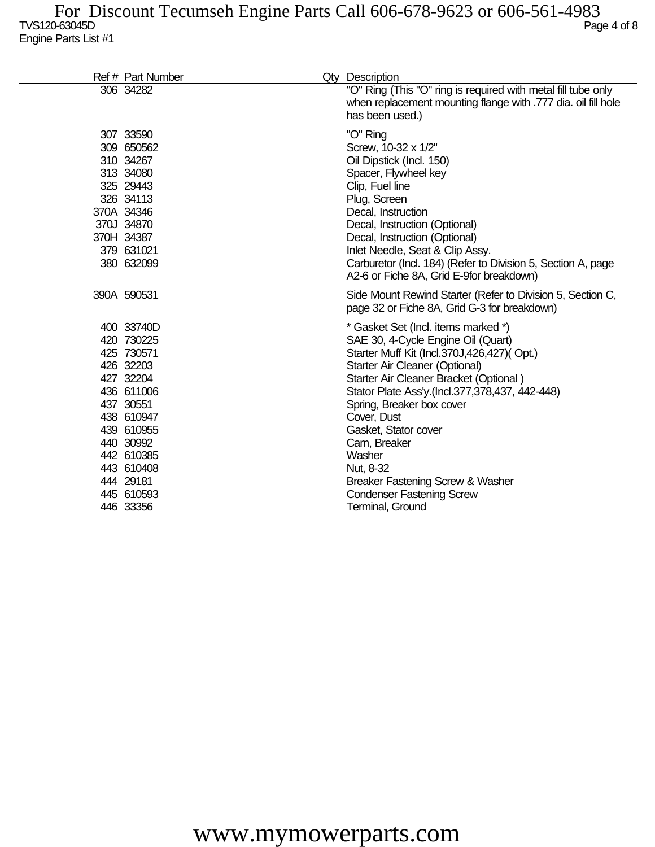| Ref # Part Number                                                                                                                                                                                        | Qty Description                                                                                                                                                                                                                                                                                                                                                                                                                                              |
|----------------------------------------------------------------------------------------------------------------------------------------------------------------------------------------------------------|--------------------------------------------------------------------------------------------------------------------------------------------------------------------------------------------------------------------------------------------------------------------------------------------------------------------------------------------------------------------------------------------------------------------------------------------------------------|
| 306 34282                                                                                                                                                                                                | "O" Ring (This "O" ring is required with metal fill tube only<br>when replacement mounting flange with .777 dia. oil fill hole<br>has been used.)                                                                                                                                                                                                                                                                                                            |
| 307 33590<br>309 650562<br>310 34267<br>313 34080<br>325 29443<br>326 34113<br>370A 34346<br>370J 34870<br>370H 34387<br>379 631021<br>380 632099                                                        | "O" Ring<br>Screw, 10-32 x 1/2"<br>Oil Dipstick (Incl. 150)<br>Spacer, Flywheel key<br>Clip, Fuel line<br>Plug, Screen<br>Decal, Instruction<br>Decal, Instruction (Optional)<br>Decal, Instruction (Optional)<br>Inlet Needle, Seat & Clip Assy.<br>Carburetor (Incl. 184) (Refer to Division 5, Section A, page<br>A2-6 or Fiche 8A, Grid E-9for breakdown)                                                                                                |
| 390A 590531                                                                                                                                                                                              | Side Mount Rewind Starter (Refer to Division 5, Section C,<br>page 32 or Fiche 8A, Grid G-3 for breakdown)                                                                                                                                                                                                                                                                                                                                                   |
| 400 33740D<br>420 730225<br>425 730571<br>426 32203<br>427 32204<br>436 611006<br>437 30551<br>438 610947<br>439 610955<br>440 30992<br>442 610385<br>443 610408<br>444 29181<br>445 610593<br>446 33356 | * Gasket Set (Incl. items marked *)<br>SAE 30, 4-Cycle Engine Oil (Quart)<br>Starter Muff Kit (Incl.370J,426,427)(Opt.)<br>Starter Air Cleaner (Optional)<br>Starter Air Cleaner Bracket (Optional)<br>Stator Plate Ass'y.(Incl.377,378,437, 442-448)<br>Spring, Breaker box cover<br>Cover, Dust<br>Gasket, Stator cover<br>Cam, Breaker<br>Washer<br>Nut, 8-32<br>Breaker Fastening Screw & Washer<br><b>Condenser Fastening Screw</b><br>Terminal, Ground |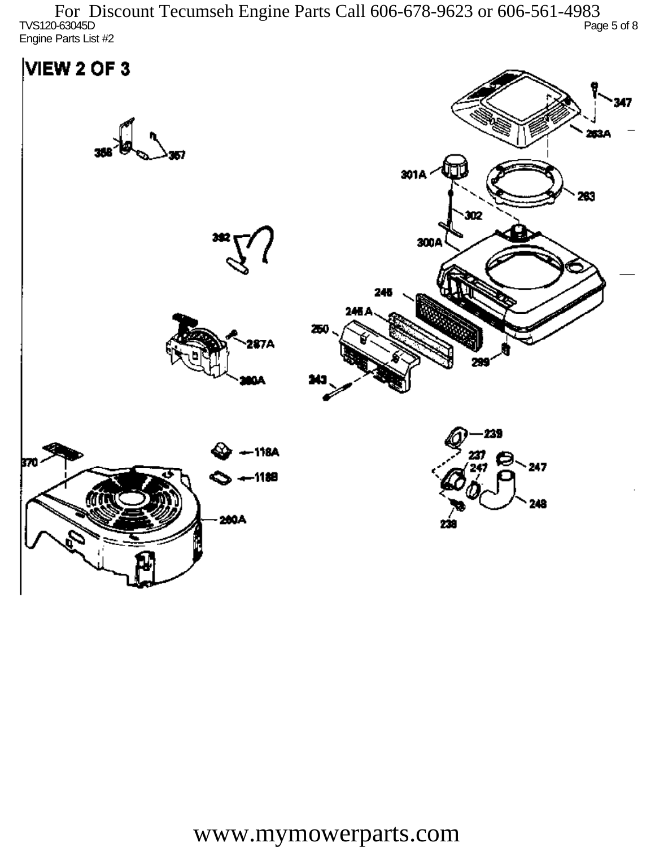TVS120-63045D Page 5 of 8 Engine Parts List #2 For Discount Tecumseh Engine Parts Call 606-678-9623 or 606-561-4983

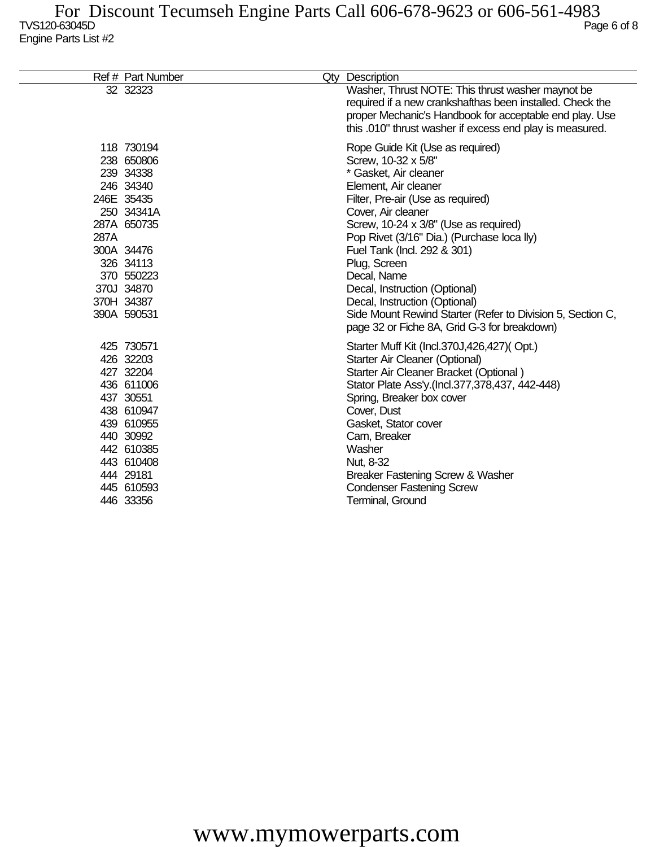|      | Ref # Part Number                                                                                                                                                                 | Qty Description                                                                                                                                                                                                                                                                                                                                                                                                                                                                                          |
|------|-----------------------------------------------------------------------------------------------------------------------------------------------------------------------------------|----------------------------------------------------------------------------------------------------------------------------------------------------------------------------------------------------------------------------------------------------------------------------------------------------------------------------------------------------------------------------------------------------------------------------------------------------------------------------------------------------------|
|      | 32 32323                                                                                                                                                                          | Washer, Thrust NOTE: This thrust washer maynot be<br>required if a new crankshafthas been installed. Check the<br>proper Mechanic's Handbook for acceptable end play. Use<br>this .010" thrust washer if excess end play is measured.                                                                                                                                                                                                                                                                    |
| 287A | 118 730194<br>238 650806<br>239 34338<br>246 34340<br>246E 35435<br>250 34341A<br>287A 650735<br>300A 34476<br>326 34113<br>370 550223<br>370J 34870<br>370H 34387<br>390A 590531 | Rope Guide Kit (Use as required)<br>Screw, 10-32 x 5/8"<br>* Gasket, Air cleaner<br>Element, Air cleaner<br>Filter, Pre-air (Use as required)<br>Cover, Air cleaner<br>Screw, 10-24 x 3/8" (Use as required)<br>Pop Rivet (3/16" Dia.) (Purchase loca lly)<br>Fuel Tank (Incl. 292 & 301)<br>Plug, Screen<br>Decal, Name<br>Decal, Instruction (Optional)<br>Decal, Instruction (Optional)<br>Side Mount Rewind Starter (Refer to Division 5, Section C,<br>page 32 or Fiche 8A, Grid G-3 for breakdown) |
|      | 425 730571<br>426 32203<br>427 32204<br>436 611006<br>437 30551<br>438 610947<br>439 610955<br>440 30992<br>442 610385<br>443 610408<br>444 29181<br>445 610593<br>446 33356      | Starter Muff Kit (Incl.370J,426,427)(Opt.)<br>Starter Air Cleaner (Optional)<br>Starter Air Cleaner Bracket (Optional)<br>Stator Plate Ass'y (Incl.377,378,437, 442-448)<br>Spring, Breaker box cover<br>Cover, Dust<br>Gasket, Stator cover<br>Cam, Breaker<br>Washer<br>Nut, 8-32<br>Breaker Fastening Screw & Washer<br><b>Condenser Fastening Screw</b><br>Terminal, Ground                                                                                                                          |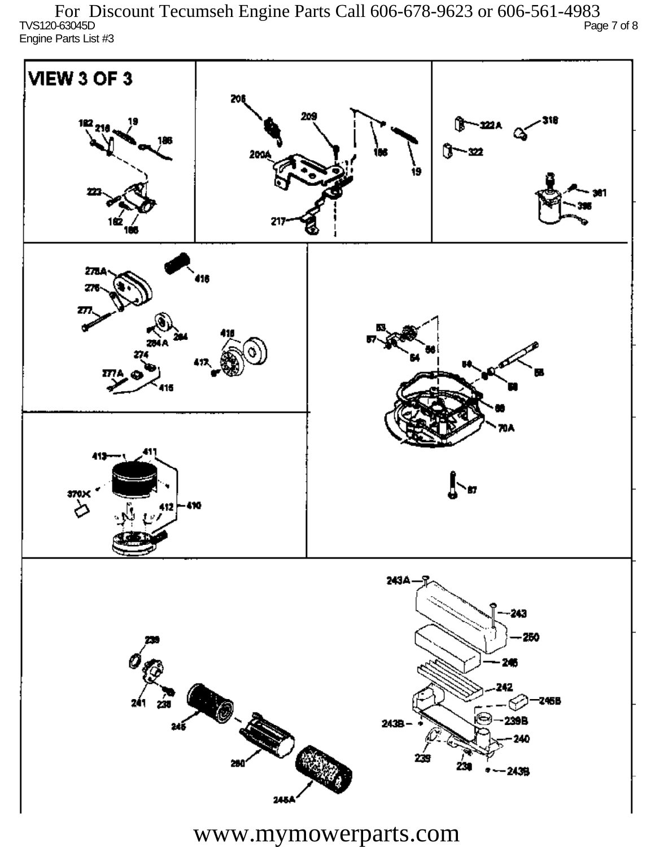TVS120-63045D Page 7 of 8 Engine Parts List #3 For Discount Tecumseh Engine Parts Call 606-678-9623 or 606-561-4983